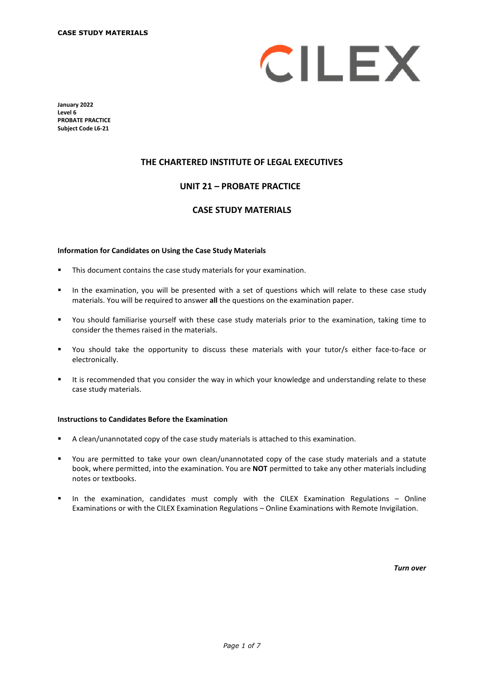

**January 2022 Level 6 PROBATE PRACTICE Subject Code L6-21**

### **THE CHARTERED INSTITUTE OF LEGAL EXECUTIVES**

### **UNIT 21 – PROBATE PRACTICE\***

### **CASE STUDY MATERIALS**

#### **Information for Candidates on Using the Case Study Materials**

- This document contains the case study materials for your examination.
- In the examination, you will be presented with a set of questions which will relate to these case study materials. You will be required to answer **all** the questions on the examination paper.
- You should familiarise yourself with these case study materials prior to the examination, taking time to consider the themes raised in the materials.
- You should take the opportunity to discuss these materials with your tutor/s either face-to-face or electronically.
- It is recommended that you consider the way in which your knowledge and understanding relate to these case study materials.

#### **Instructions to Candidates Before the Examination**

- A clean/unannotated copy of the case study materials is attached to this examination.
- You are permitted to take your own clean/unannotated copy of the case study materials and a statute book, where permitted, into the examination. You are **NOT** permitted to take any other materials including notes or textbooks.
- In the examination, candidates must comply with the CILEX Examination Regulations Online Examinations or with the CILEX Examination Regulations – Online Examinations with Remote Invigilation.

*Turn over*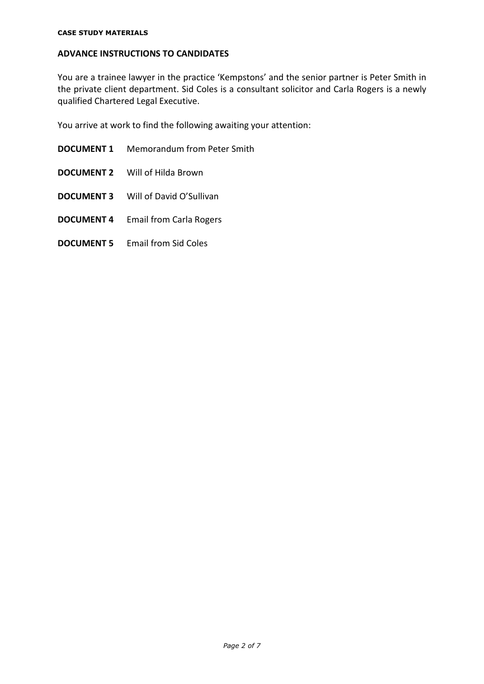# **ADVANCE INSTRUCTIONS TO CANDIDATES**

You are a trainee lawyer in the practice 'Kempstons' and the senior partner is Peter Smith in the private client department. Sid Coles is a consultant solicitor and Carla Rogers is a newly qualified Chartered Legal Executive.

You arrive at work to find the following awaiting your attention:

- **DOCUMENT 1** Memorandum from Peter Smith
- **DOCUMENT 2** Will of Hilda Brown
- **DOCUMENT 3** Will of David O'Sullivan
- **DOCUMENT 4** Email from Carla Rogers
- **DOCUMENT 5** Email from Sid Coles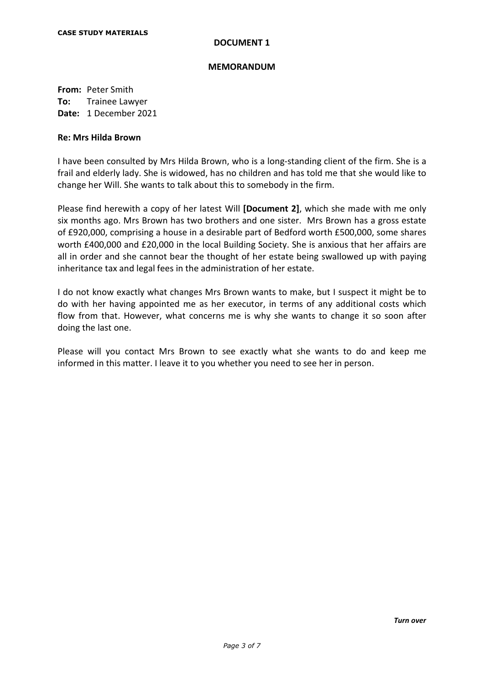#### **MEMORANDUM**

**From:** Peter Smith **To:** Trainee Lawyer **Date:** 1 December 2021

### **Re: Mrs Hilda Brown**

I have been consulted by Mrs Hilda Brown, who is a long-standing client of the firm. She is a frail and elderly lady. She is widowed, has no children and has told me that she would like to change her Will. She wants to talk about this to somebody in the firm.

Please find herewith a copy of her latest Will **[Document 2]**, which she made with me only six months ago. Mrs Brown has two brothers and one sister. Mrs Brown has a gross estate of £920,000, comprising a house in a desirable part of Bedford worth £500,000, some shares worth £400,000 and £20,000 in the local Building Society. She is anxious that her affairs are all in order and she cannot bear the thought of her estate being swallowed up with paying inheritance tax and legal fees in the administration of her estate.

I do not know exactly what changes Mrs Brown wants to make, but I suspect it might be to do with her having appointed me as her executor, in terms of any additional costs which flow from that. However, what concerns me is why she wants to change it so soon after doing the last one.

Please will you contact Mrs Brown to see exactly what she wants to do and keep me informed in this matter. I leave it to you whether you need to see her in person.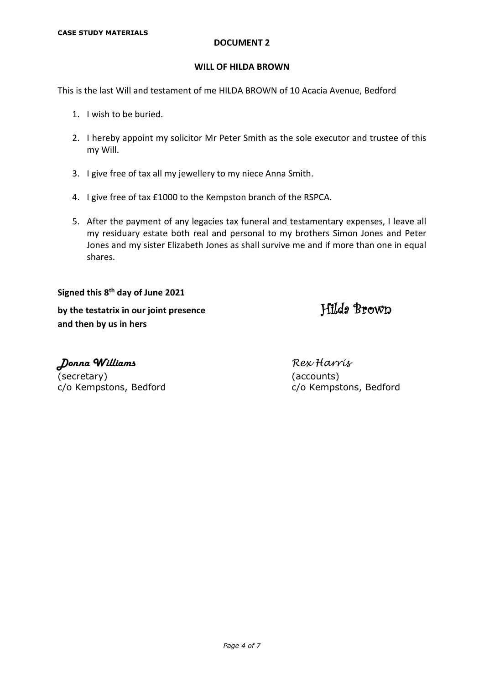#### **WILL OF HILDA BROWN**

This is the last Will and testament of me HILDA BROWN of 10 Acacia Avenue, Bedford

- 1. I wish to be buried.
- 2. I hereby appoint my solicitor Mr Peter Smith as the sole executor and trustee of this my Will.
- 3. I give free of tax all my jewellery to my niece Anna Smith.
- 4. I give free of tax £1000 to the Kempston branch of the RSPCA.
- 5. After the payment of any legacies tax funeral and testamentary expenses, I leave all my residuary estate both real and personal to my brothers Simon Jones and Peter Jones and my sister Elizabeth Jones as shall survive me and if more than one in equal shares.

**Signed this 8th day of June 2021**  by the testatrix in our joint presence **Filleda** Brown **and then by us in hers**

Donna Williams *Rex Harris* (secretary) (accounts)

c/o Kempstons, Bedford c/o Kempstons, Bedford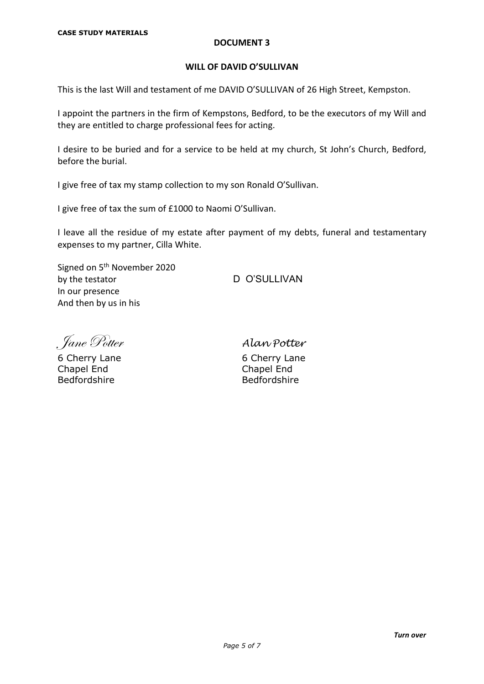### **WILL OF DAVID O'SULLIVAN**

This is the last Will and testament of me DAVID O'SULLIVAN of 26 High Street, Kempston.

I appoint the partners in the firm of Kempstons, Bedford, to be the executors of my Will and they are entitled to charge professional fees for acting.

I desire to be buried and for a service to be held at my church, St John's Church, Bedford, before the burial.

I give free of tax my stamp collection to my son Ronald O'Sullivan.

I give free of tax the sum of £1000 to Naomi O'Sullivan.

I leave all the residue of my estate after payment of my debts, funeral and testamentary expenses to my partner, Cilla White.

Signed on 5<sup>th</sup> November 2020 by the testator D O'SULLIVAN In our presence And then by us in his

Jane Potter *Alan Potter*

6 Cherry Lane 6 Cherry Lane 6 Cherry Lane 6 Cherry Lane 6 Cherry Lane 6 Cherry Lane 6 Cherry Lane 6 Cherry Lane Chapel End<br>Bedfordshire

**Bedfordshire**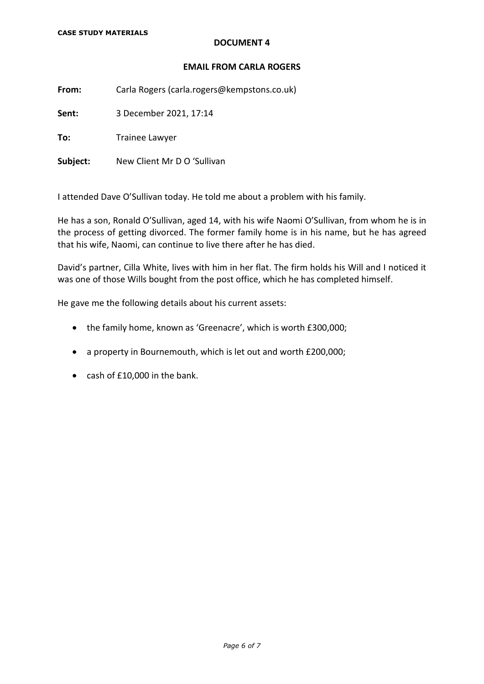### **EMAIL FROM CARLA ROGERS**

**From:** Carla Rogers (carla.rogers@kempstons.co.uk)

**Sent:** 3 December 2021, 17:14

**To:** Trainee Lawyer

**Subject:** New Client Mr D O 'Sullivan

I attended Dave O'Sullivan today. He told me about a problem with his family.

He has a son, Ronald O'Sullivan, aged 14, with his wife Naomi O'Sullivan, from whom he is in the process of getting divorced. The former family home is in his name, but he has agreed that his wife, Naomi, can continue to live there after he has died.

David's partner, Cilla White, lives with him in her flat. The firm holds his Will and I noticed it was one of those Wills bought from the post office, which he has completed himself.

He gave me the following details about his current assets:

- the family home, known as 'Greenacre', which is worth £300,000;
- a property in Bournemouth, which is let out and worth £200,000;
- cash of £10,000 in the bank.